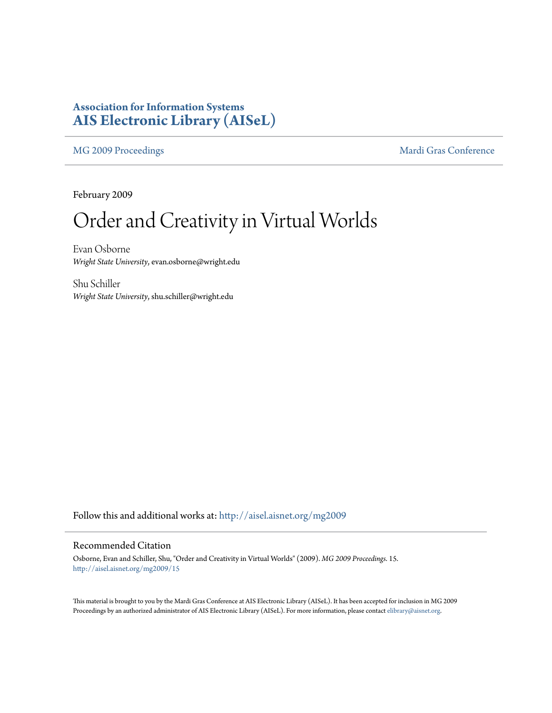## **Association for Information Systems [AIS Electronic Library \(AISeL\)](http://aisel.aisnet.org?utm_source=aisel.aisnet.org%2Fmg2009%2F15&utm_medium=PDF&utm_campaign=PDFCoverPages)**

[MG 2009 Proceedings](http://aisel.aisnet.org/mg2009?utm_source=aisel.aisnet.org%2Fmg2009%2F15&utm_medium=PDF&utm_campaign=PDFCoverPages) **[Mardi Gras Conference](http://aisel.aisnet.org/mg?utm_source=aisel.aisnet.org%2Fmg2009%2F15&utm_medium=PDF&utm_campaign=PDFCoverPages)** Mardi Gras Conference

February 2009

# Order and Creativity in Virtual Worlds

Evan Osborne *Wright State University*, evan.osborne@wright.edu

Shu Schiller *Wright State University*, shu.schiller@wright.edu

Follow this and additional works at: [http://aisel.aisnet.org/mg2009](http://aisel.aisnet.org/mg2009?utm_source=aisel.aisnet.org%2Fmg2009%2F15&utm_medium=PDF&utm_campaign=PDFCoverPages)

### Recommended Citation

Osborne, Evan and Schiller, Shu, "Order and Creativity in Virtual Worlds" (2009). *MG 2009 Proceedings*. 15. [http://aisel.aisnet.org/mg2009/15](http://aisel.aisnet.org/mg2009/15?utm_source=aisel.aisnet.org%2Fmg2009%2F15&utm_medium=PDF&utm_campaign=PDFCoverPages)

This material is brought to you by the Mardi Gras Conference at AIS Electronic Library (AISeL). It has been accepted for inclusion in MG 2009 Proceedings by an authorized administrator of AIS Electronic Library (AISeL). For more information, please contact [elibrary@aisnet.org](mailto:elibrary@aisnet.org%3E).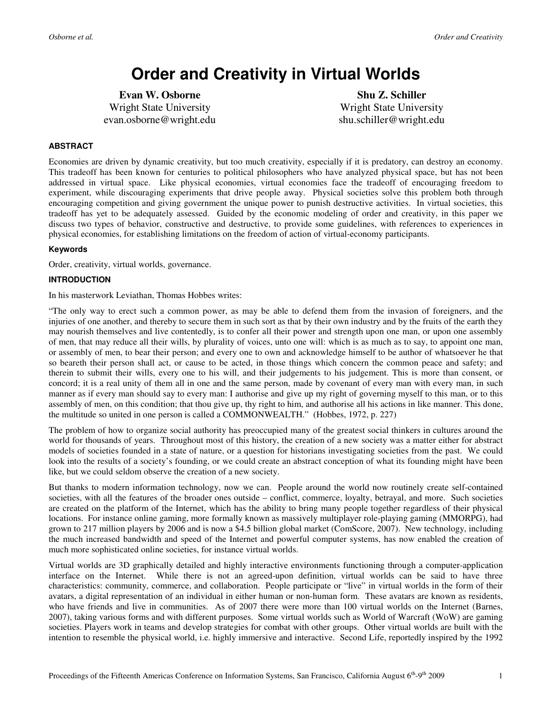# **Order and Creativity in Virtual Worlds**

**Evan W. Osborne**  Wright State University evan.osborne@wright.edu

**Shu Z. Schiller**  Wright State University shu.schiller@wright.edu

#### **ABSTRACT**

Economies are driven by dynamic creativity, but too much creativity, especially if it is predatory, can destroy an economy. This tradeoff has been known for centuries to political philosophers who have analyzed physical space, but has not been addressed in virtual space. Like physical economies, virtual economies face the tradeoff of encouraging freedom to experiment, while discouraging experiments that drive people away. Physical societies solve this problem both through encouraging competition and giving government the unique power to punish destructive activities. In virtual societies, this tradeoff has yet to be adequately assessed. Guided by the economic modeling of order and creativity, in this paper we discuss two types of behavior, constructive and destructive, to provide some guidelines, with references to experiences in physical economies, for establishing limitations on the freedom of action of virtual-economy participants.

#### **Keywords**

Order, creativity, virtual worlds, governance.

#### **INTRODUCTION**

In his masterwork Leviathan, Thomas Hobbes writes:

"The only way to erect such a common power, as may be able to defend them from the invasion of foreigners, and the injuries of one another, and thereby to secure them in such sort as that by their own industry and by the fruits of the earth they may nourish themselves and live contentedly, is to confer all their power and strength upon one man, or upon one assembly of men, that may reduce all their wills, by plurality of voices, unto one will: which is as much as to say, to appoint one man, or assembly of men, to bear their person; and every one to own and acknowledge himself to be author of whatsoever he that so beareth their person shall act, or cause to be acted, in those things which concern the common peace and safety; and therein to submit their wills, every one to his will, and their judgements to his judgement. This is more than consent, or concord; it is a real unity of them all in one and the same person, made by covenant of every man with every man, in such manner as if every man should say to every man: I authorise and give up my right of governing myself to this man, or to this assembly of men, on this condition; that thou give up, thy right to him, and authorise all his actions in like manner. This done, the multitude so united in one person is called a COMMONWEALTH." (Hobbes, 1972, p. 227)

The problem of how to organize social authority has preoccupied many of the greatest social thinkers in cultures around the world for thousands of years. Throughout most of this history, the creation of a new society was a matter either for abstract models of societies founded in a state of nature, or a question for historians investigating societies from the past. We could look into the results of a society's founding, or we could create an abstract conception of what its founding might have been like, but we could seldom observe the creation of a new society.

But thanks to modern information technology, now we can. People around the world now routinely create self-contained societies, with all the features of the broader ones outside – conflict, commerce, loyalty, betrayal, and more. Such societies are created on the platform of the Internet, which has the ability to bring many people together regardless of their physical locations. For instance online gaming, more formally known as massively multiplayer role-playing gaming (MMORPG), had grown to 217 million players by 2006 and is now a \$4.5 billion global market (ComScore, 2007). New technology, including the much increased bandwidth and speed of the Internet and powerful computer systems, has now enabled the creation of much more sophisticated online societies, for instance virtual worlds.

Virtual worlds are 3D graphically detailed and highly interactive environments functioning through a computer-application interface on the Internet. While there is not an agreed-upon definition, virtual worlds can be said to have three characteristics: community, commerce, and collaboration. People participate or "live" in virtual worlds in the form of their avatars, a digital representation of an individual in either human or non-human form. These avatars are known as residents, who have friends and live in communities. As of 2007 there were more than 100 virtual worlds on the Internet (Barnes, 2007), taking various forms and with different purposes. Some virtual worlds such as World of Warcraft (WoW) are gaming societies. Players work in teams and develop strategies for combat with other groups. Other virtual worlds are built with the intention to resemble the physical world, i.e. highly immersive and interactive. Second Life, reportedly inspired by the 1992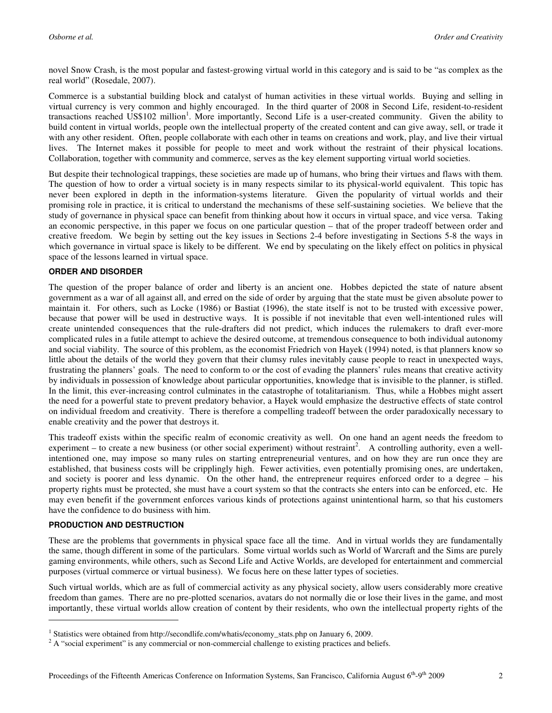novel Snow Crash, is the most popular and fastest-growing virtual world in this category and is said to be "as complex as the real world" (Rosedale, 2007).

Commerce is a substantial building block and catalyst of human activities in these virtual worlds. Buying and selling in virtual currency is very common and highly encouraged. In the third quarter of 2008 in Second Life, resident-to-resident transactions reached US\$102 million<sup>1</sup>. More importantly, Second Life is a user-created community. Given the ability to build content in virtual worlds, people own the intellectual property of the created content and can give away, sell, or trade it with any other resident. Often, people collaborate with each other in teams on creations and work, play, and live their virtual lives. The Internet makes it possible for people to meet and work without the restraint of their physical locations. Collaboration, together with community and commerce, serves as the key element supporting virtual world societies.

But despite their technological trappings, these societies are made up of humans, who bring their virtues and flaws with them. The question of how to order a virtual society is in many respects similar to its physical-world equivalent. This topic has never been explored in depth in the information-systems literature. Given the popularity of virtual worlds and their promising role in practice, it is critical to understand the mechanisms of these self-sustaining societies. We believe that the study of governance in physical space can benefit from thinking about how it occurs in virtual space, and vice versa. Taking an economic perspective, in this paper we focus on one particular question – that of the proper tradeoff between order and creative freedom. We begin by setting out the key issues in Sections 2-4 before investigating in Sections 5-8 the ways in which governance in virtual space is likely to be different. We end by speculating on the likely effect on politics in physical space of the lessons learned in virtual space.

#### **ORDER AND DISORDER**

The question of the proper balance of order and liberty is an ancient one. Hobbes depicted the state of nature absent government as a war of all against all, and erred on the side of order by arguing that the state must be given absolute power to maintain it. For others, such as Locke (1986) or Bastiat (1996), the state itself is not to be trusted with excessive power, because that power will be used in destructive ways. It is possible if not inevitable that even well-intentioned rules will create unintended consequences that the rule-drafters did not predict, which induces the rulemakers to draft ever-more complicated rules in a futile attempt to achieve the desired outcome, at tremendous consequence to both individual autonomy and social viability. The source of this problem, as the economist Friedrich von Hayek (1994) noted, is that planners know so little about the details of the world they govern that their clumsy rules inevitably cause people to react in unexpected ways, frustrating the planners' goals. The need to conform to or the cost of evading the planners' rules means that creative activity by individuals in possession of knowledge about particular opportunities, knowledge that is invisible to the planner, is stifled. In the limit, this ever-increasing control culminates in the catastrophe of totalitarianism. Thus, while a Hobbes might assert the need for a powerful state to prevent predatory behavior, a Hayek would emphasize the destructive effects of state control on individual freedom and creativity. There is therefore a compelling tradeoff between the order paradoxically necessary to enable creativity and the power that destroys it.

This tradeoff exists within the specific realm of economic creativity as well. On one hand an agent needs the freedom to experiment – to create a new business (or other social experiment) without restraint<sup>2</sup>. A controlling authority, even a wellintentioned one, may impose so many rules on starting entrepreneurial ventures, and on how they are run once they are established, that business costs will be cripplingly high. Fewer activities, even potentially promising ones, are undertaken, and society is poorer and less dynamic. On the other hand, the entrepreneur requires enforced order to a degree – his property rights must be protected, she must have a court system so that the contracts she enters into can be enforced, etc. He may even benefit if the government enforces various kinds of protections against unintentional harm, so that his customers have the confidence to do business with him.

#### **PRODUCTION AND DESTRUCTION**

-

These are the problems that governments in physical space face all the time. And in virtual worlds they are fundamentally the same, though different in some of the particulars. Some virtual worlds such as World of Warcraft and the Sims are purely gaming environments, while others, such as Second Life and Active Worlds, are developed for entertainment and commercial purposes (virtual commerce or virtual business). We focus here on these latter types of societies.

Such virtual worlds, which are as full of commercial activity as any physical society, allow users considerably more creative freedom than games. There are no pre-plotted scenarios, avatars do not normally die or lose their lives in the game, and most importantly, these virtual worlds allow creation of content by their residents, who own the intellectual property rights of the

<sup>&</sup>lt;sup>1</sup> Statistics were obtained from http://secondlife.com/whatis/economy\_stats.php on January 6, 2009.

 $2A$  "social experiment" is any commercial or non-commercial challenge to existing practices and beliefs.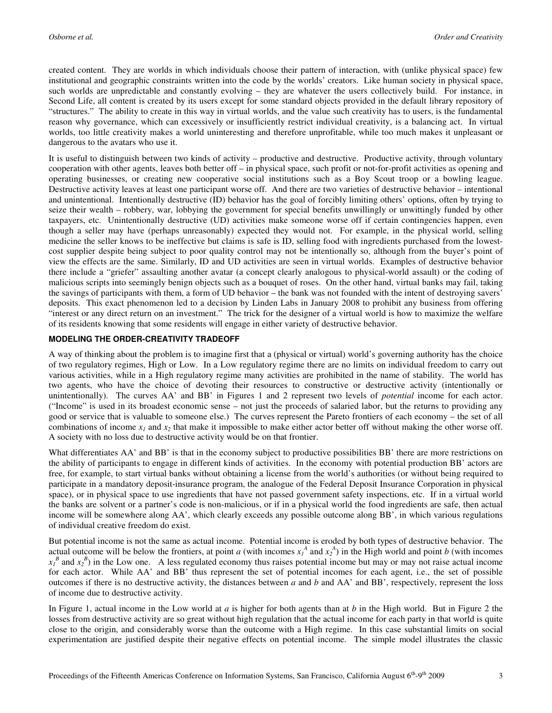created content. They are worlds in which individuals choose their pattern of interaction, with (unlike physical space) few institutional and geographic constraints written into the code by the worlds' creators. Like human society in physical space, such worlds are unpredictable and constantly evolving – they are whatever the users collectively build. For instance, in Second Life, all content is created by its users except for some standard objects provided in the default library repository of "structures." The ability to create in this way in virtual worlds, and the value such creativity has to users, is the fundamental reason why governance, which can excessively or insufficiently restrict individual creativity, is a balancing act. In virtual worlds, too little creativity makes a world uninteresting and therefore unprofitable, while too much makes it unpleasant or dangerous to the avatars who use it.

It is useful to distinguish between two kinds of activity – productive and destructive. Productive activity, through voluntary cooperation with other agents, leaves both better off – in physical space, such profit or not-for-profit activities as opening and operating businesses, or creating new cooperative social institutions such as a Boy Scout troop or a bowling league. Destructive activity leaves at least one participant worse off. And there are two varieties of destructive behavior – intentional and unintentional. Intentionally destructive (ID) behavior has the goal of forcibly limiting others' options, often by trying to seize their wealth – robbery, war, lobbying the government for special benefits unwillingly or unwittingly funded by other taxpayers, etc. Unintentionally destructive (UD) activities make someone worse off if certain contingencies happen, even though a seller may have (perhaps unreasonably) expected they would not. For example, in the physical world, selling medicine the seller knows to be ineffective but claims is safe is ID, selling food with ingredients purchased from the lowestcost supplier despite being subject to poor quality control may not be intentionally so, although from the buyer's point of view the effects are the same. Similarly, ID and UD activities are seen in virtual worlds. Examples of destructive behavior there include a "griefer" assaulting another avatar (a concept clearly analogous to physical-world assault) or the coding of malicious scripts into seemingly benign objects such as a bouquet of roses. On the other hand, virtual banks may fail, taking the savings of participants with them, a form of UD behavior – the bank was not founded with the intent of destroying savers' deposits. This exact phenomenon led to a decision by Linden Labs in January 2008 to prohibit any business from offering "interest or any direct return on an investment." The trick for the designer of a virtual world is how to maximize the welfare of its residents knowing that some residents will engage in either variety of destructive behavior.

#### **MODELING THE ORDER-CREATIVITY TRADEOFF**

A way of thinking about the problem is to imagine first that a (physical or virtual) world's governing authority has the choice of two regulatory regimes, High or Low. In a Low regulatory regime there are no limits on individual freedom to carry out various activities, while in a High regulatory regime many activities are prohibited in the name of stability. The world has two agents, who have the choice of devoting their resources to constructive or destructive activity (intentionally or unintentionally). The curves AA' and BB' in Figures 1 and 2 represent two levels of *potential* income for each actor. ("Income" is used in its broadest economic sense – not just the proceeds of salaried labor, but the returns to providing any good or service that is valuable to someone else.) The curves represent the Pareto frontiers of each economy – the set of all combinations of income  $x_i$  and  $x_2$  that make it impossible to make either actor better off without making the other worse off. A society with no loss due to destructive activity would be on that frontier.

What differentiates AA' and BB' is that in the economy subject to productive possibilities BB' there are more restrictions on the ability of participants to engage in different kinds of activities. In the economy with potential production BB' actors are free, for example, to start virtual banks without obtaining a license from the world's authorities (or without being required to participate in a mandatory deposit-insurance program, the analogue of the Federal Deposit Insurance Corporation in physical space), or in physical space to use ingredients that have not passed government safety inspections, etc. If in a virtual world the banks are solvent or a partner's code is non-malicious, or if in a physical world the food ingredients are safe, then actual income will be somewhere along AA', which clearly exceeds any possible outcome along BB', in which various regulations of individual creative freedom do exist.

But potential income is not the same as actual income. Potential income is eroded by both types of destructive behavior. The actual outcome will be below the frontiers, at point *a* (with incomes  $x_t^A$  and  $x_2^A$ ) in the High world and point *b* (with incomes  $x_1^B$  and  $x_2^B$ ) in the Low one. A less regulated economy thus raises potential income but may or may not raise actual income for each actor. While AA' and BB' thus represent the set of potential incomes for each agent, i.e., the set of possible outcomes if there is no destructive activity, the distances between *a* and *b* and AA' and BB', respectively, represent the loss of income due to destructive activity.

In Figure 1, actual income in the Low world at *a* is higher for both agents than at *b* in the High world. But in Figure 2 the losses from destructive activity are so great without high regulation that the actual income for each party in that world is quite close to the origin, and considerably worse than the outcome with a High regime. In this case substantial limits on social experimentation are justified despite their negative effects on potential income. The simple model illustrates the classic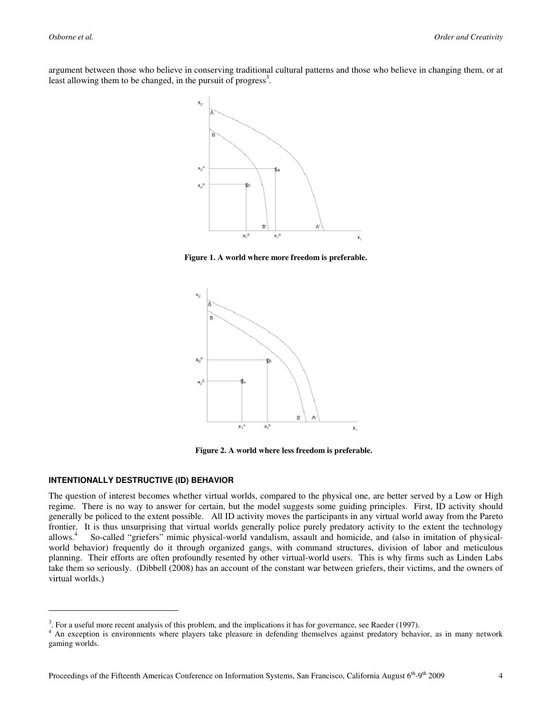argument between those who believe in conserving traditional cultural patterns and those who believe in changing them, or at least allowing them to be changed, in the pursuit of progress<sup>3</sup>.



**Figure 1. A world where more freedom is preferable.**



 **Figure 2. A world where less freedom is preferable.** 

#### **INTENTIONALLY DESTRUCTIVE (ID) BEHAVIOR**

-

The question of interest becomes whether virtual worlds, compared to the physical one, are better served by a Low or High regime. There is no way to answer for certain, but the model suggests some guiding principles. First, ID activity should generally be policed to the extent possible. All ID activity moves the participants in any virtual world away from the Pareto frontier. It is thus unsurprising that virtual worlds generally police purely predatory activity to the extent the technology allows.<sup>4</sup> So-called "griefers" mimic physical-world vandalism, assault and homicide, and (also in imitation of physicalworld behavior) frequently do it through organized gangs, with command structures, division of labor and meticulous planning. Their efforts are often profoundly resented by other virtual-world users. This is why firms such as Linden Labs take them so seriously. (Dibbell (2008) has an account of the constant war between griefers, their victims, and the owners of virtual worlds.)

<sup>3</sup> . For a useful more recent analysis of this problem, and the implications it has for governance, see Raeder (1997).

<sup>&</sup>lt;sup>4</sup> An exception is environments where players take pleasure in defending themselves against predatory behavior, as in many network gaming worlds.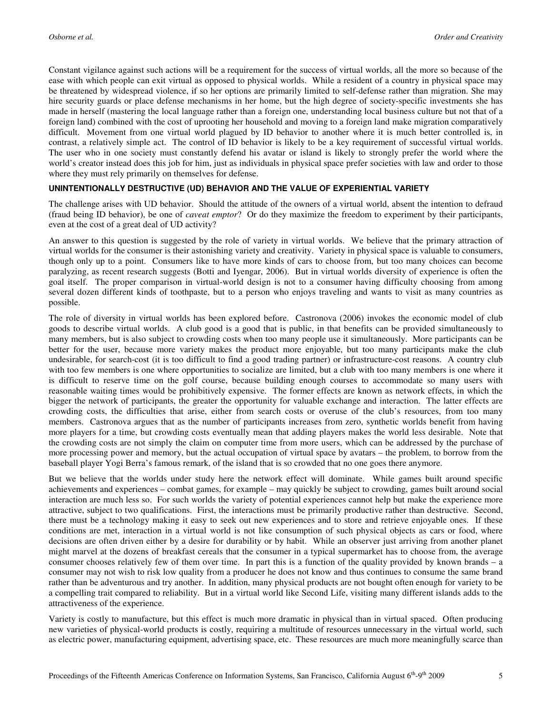Constant vigilance against such actions will be a requirement for the success of virtual worlds, all the more so because of the ease with which people can exit virtual as opposed to physical worlds. While a resident of a country in physical space may be threatened by widespread violence, if so her options are primarily limited to self-defense rather than migration. She may hire security guards or place defense mechanisms in her home, but the high degree of society-specific investments she has made in herself (mastering the local language rather than a foreign one, understanding local business culture but not that of a foreign land) combined with the cost of uprooting her household and moving to a foreign land make migration comparatively difficult. Movement from one virtual world plagued by ID behavior to another where it is much better controlled is, in contrast, a relatively simple act. The control of ID behavior is likely to be a key requirement of successful virtual worlds. The user who in one society must constantly defend his avatar or island is likely to strongly prefer the world where the world's creator instead does this job for him, just as individuals in physical space prefer societies with law and order to those where they must rely primarily on themselves for defense.

#### **UNINTENTIONALLY DESTRUCTIVE (UD) BEHAVIOR AND THE VALUE OF EXPERIENTIAL VARIETY**

The challenge arises with UD behavior. Should the attitude of the owners of a virtual world, absent the intention to defraud (fraud being ID behavior), be one of *caveat emptor*? Or do they maximize the freedom to experiment by their participants, even at the cost of a great deal of UD activity?

An answer to this question is suggested by the role of variety in virtual worlds. We believe that the primary attraction of virtual worlds for the consumer is their astonishing variety and creativity. Variety in physical space is valuable to consumers, though only up to a point. Consumers like to have more kinds of cars to choose from, but too many choices can become paralyzing, as recent research suggests (Botti and Iyengar, 2006). But in virtual worlds diversity of experience is often the goal itself. The proper comparison in virtual-world design is not to a consumer having difficulty choosing from among several dozen different kinds of toothpaste, but to a person who enjoys traveling and wants to visit as many countries as possible.

The role of diversity in virtual worlds has been explored before. Castronova (2006) invokes the economic model of club goods to describe virtual worlds. A club good is a good that is public, in that benefits can be provided simultaneously to many members, but is also subject to crowding costs when too many people use it simultaneously. More participants can be better for the user, because more variety makes the product more enjoyable, but too many participants make the club undesirable, for search-cost (it is too difficult to find a good trading partner) or infrastructure-cost reasons. A country club with too few members is one where opportunities to socialize are limited, but a club with too many members is one where it is difficult to reserve time on the golf course, because building enough courses to accommodate so many users with reasonable waiting times would be prohibitively expensive. The former effects are known as network effects, in which the bigger the network of participants, the greater the opportunity for valuable exchange and interaction. The latter effects are crowding costs, the difficulties that arise, either from search costs or overuse of the club's resources, from too many members. Castronova argues that as the number of participants increases from zero, synthetic worlds benefit from having more players for a time, but crowding costs eventually mean that adding players makes the world less desirable. Note that the crowding costs are not simply the claim on computer time from more users, which can be addressed by the purchase of more processing power and memory, but the actual occupation of virtual space by avatars – the problem, to borrow from the baseball player Yogi Berra's famous remark, of the island that is so crowded that no one goes there anymore.

But we believe that the worlds under study here the network effect will dominate. While games built around specific achievements and experiences – combat games, for example – may quickly be subject to crowding, games built around social interaction are much less so. For such worlds the variety of potential experiences cannot help but make the experience more attractive, subject to two qualifications. First, the interactions must be primarily productive rather than destructive. Second, there must be a technology making it easy to seek out new experiences and to store and retrieve enjoyable ones. If these conditions are met, interaction in a virtual world is not like consumption of such physical objects as cars or food, where decisions are often driven either by a desire for durability or by habit. While an observer just arriving from another planet might marvel at the dozens of breakfast cereals that the consumer in a typical supermarket has to choose from, the average consumer chooses relatively few of them over time. In part this is a function of the quality provided by known brands – a consumer may not wish to risk low quality from a producer he does not know and thus continues to consume the same brand rather than be adventurous and try another. In addition, many physical products are not bought often enough for variety to be a compelling trait compared to reliability. But in a virtual world like Second Life, visiting many different islands adds to the attractiveness of the experience.

Variety is costly to manufacture, but this effect is much more dramatic in physical than in virtual spaced. Often producing new varieties of physical-world products is costly, requiring a multitude of resources unnecessary in the virtual world, such as electric power, manufacturing equipment, advertising space, etc. These resources are much more meaningfully scarce than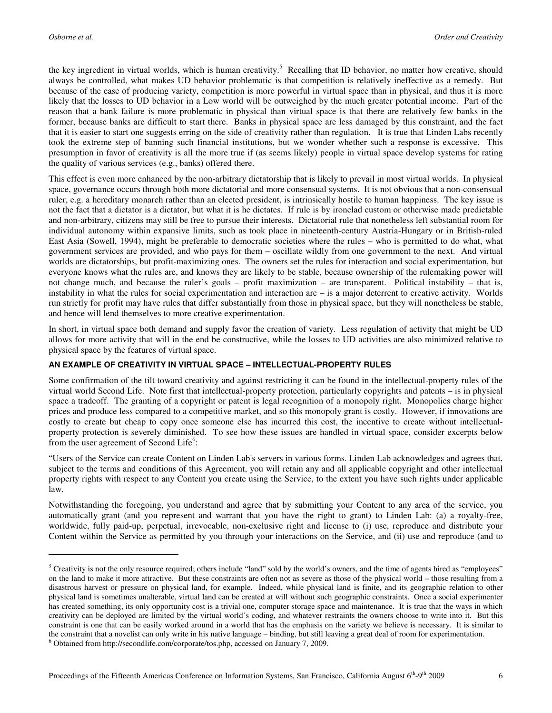-

the key ingredient in virtual worlds, which is human creativity.<sup>5</sup> Recalling that ID behavior, no matter how creative, should always be controlled, what makes UD behavior problematic is that competition is relatively ineffective as a remedy. But because of the ease of producing variety, competition is more powerful in virtual space than in physical, and thus it is more likely that the losses to UD behavior in a Low world will be outweighed by the much greater potential income. Part of the reason that a bank failure is more problematic in physical than virtual space is that there are relatively few banks in the former, because banks are difficult to start there. Banks in physical space are less damaged by this constraint, and the fact that it is easier to start one suggests erring on the side of creativity rather than regulation. It is true that Linden Labs recently took the extreme step of banning such financial institutions, but we wonder whether such a response is excessive. This presumption in favor of creativity is all the more true if (as seems likely) people in virtual space develop systems for rating the quality of various services (e.g., banks) offered there.

This effect is even more enhanced by the non-arbitrary dictatorship that is likely to prevail in most virtual worlds. In physical space, governance occurs through both more dictatorial and more consensual systems. It is not obvious that a non-consensual ruler, e.g. a hereditary monarch rather than an elected president, is intrinsically hostile to human happiness. The key issue is not the fact that a dictator is a dictator, but what it is he dictates. If rule is by ironclad custom or otherwise made predictable and non-arbitrary, citizens may still be free to pursue their interests. Dictatorial rule that nonetheless left substantial room for individual autonomy within expansive limits, such as took place in nineteenth-century Austria-Hungary or in British-ruled East Asia (Sowell, 1994), might be preferable to democratic societies where the rules – who is permitted to do what, what government services are provided, and who pays for them – oscillate wildly from one government to the next. And virtual worlds are dictatorships, but profit-maximizing ones. The owners set the rules for interaction and social experimentation, but everyone knows what the rules are, and knows they are likely to be stable, because ownership of the rulemaking power will not change much, and because the ruler's goals – profit maximization – are transparent. Political instability – that is, instability in what the rules for social experimentation and interaction are – is a major deterrent to creative activity. Worlds run strictly for profit may have rules that differ substantially from those in physical space, but they will nonetheless be stable, and hence will lend themselves to more creative experimentation.

In short, in virtual space both demand and supply favor the creation of variety. Less regulation of activity that might be UD allows for more activity that will in the end be constructive, while the losses to UD activities are also minimized relative to physical space by the features of virtual space.

#### **AN EXAMPLE OF CREATIVITY IN VIRTUAL SPACE – INTELLECTUAL-PROPERTY RULES**

Some confirmation of the tilt toward creativity and against restricting it can be found in the intellectual-property rules of the virtual world Second Life. Note first that intellectual-property protection, particularly copyrights and patents – is in physical space a tradeoff. The granting of a copyright or patent is legal recognition of a monopoly right. Monopolies charge higher prices and produce less compared to a competitive market, and so this monopoly grant is costly. However, if innovations are costly to create but cheap to copy once someone else has incurred this cost, the incentive to create without intellectualproperty protection is severely diminished. To see how these issues are handled in virtual space, consider excerpts below from the user agreement of Second Life<sup>6</sup>:

"Users of the Service can create Content on Linden Lab's servers in various forms. Linden Lab acknowledges and agrees that, subject to the terms and conditions of this Agreement, you will retain any and all applicable copyright and other intellectual property rights with respect to any Content you create using the Service, to the extent you have such rights under applicable law.

Notwithstanding the foregoing, you understand and agree that by submitting your Content to any area of the service, you automatically grant (and you represent and warrant that you have the right to grant) to Linden Lab: (a) a royalty-free, worldwide, fully paid-up, perpetual, irrevocable, non-exclusive right and license to (i) use, reproduce and distribute your Content within the Service as permitted by you through your interactions on the Service, and (ii) use and reproduce (and to

 $<sup>5</sup>$  Creativity is not the only resource required; others include "land" sold by the world's owners, and the time of agents hired as "employees"</sup> on the land to make it more attractive. But these constraints are often not as severe as those of the physical world – those resulting from a disastrous harvest or pressure on physical land, for example. Indeed, while physical land is finite, and its geographic relation to other physical land is sometimes unalterable, virtual land can be created at will without such geographic constraints. Once a social experimenter has created something, its only opportunity cost is a trivial one, computer storage space and maintenance. It is true that the ways in which creativity can be deployed are limited by the virtual world's coding, and whatever restraints the owners choose to write into it. But this constraint is one that can be easily worked around in a world that has the emphasis on the variety we believe is necessary. It is similar to the constraint that a novelist can only write in his native language – binding, but still leaving a great deal of room for experimentation.

<sup>6</sup> Obtained from http://secondlife.com/corporate/tos.php, accessed on January 7, 2009.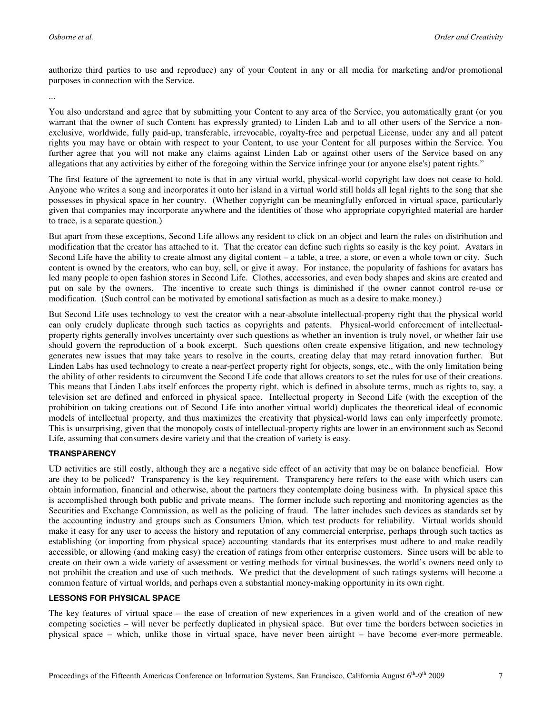authorize third parties to use and reproduce) any of your Content in any or all media for marketing and/or promotional purposes in connection with the Service.

...

You also understand and agree that by submitting your Content to any area of the Service, you automatically grant (or you warrant that the owner of such Content has expressly granted) to Linden Lab and to all other users of the Service a nonexclusive, worldwide, fully paid-up, transferable, irrevocable, royalty-free and perpetual License, under any and all patent rights you may have or obtain with respect to your Content, to use your Content for all purposes within the Service. You further agree that you will not make any claims against Linden Lab or against other users of the Service based on any allegations that any activities by either of the foregoing within the Service infringe your (or anyone else's) patent rights."

The first feature of the agreement to note is that in any virtual world, physical-world copyright law does not cease to hold. Anyone who writes a song and incorporates it onto her island in a virtual world still holds all legal rights to the song that she possesses in physical space in her country. (Whether copyright can be meaningfully enforced in virtual space, particularly given that companies may incorporate anywhere and the identities of those who appropriate copyrighted material are harder to trace, is a separate question.)

But apart from these exceptions, Second Life allows any resident to click on an object and learn the rules on distribution and modification that the creator has attached to it. That the creator can define such rights so easily is the key point. Avatars in Second Life have the ability to create almost any digital content – a table, a tree, a store, or even a whole town or city.Such content is owned by the creators, who can buy, sell, or give it away. For instance, the popularity of fashions for avatars has led many people to open fashion stores in Second Life. Clothes, accessories, and even body shapes and skins are created and put on sale by the owners. The incentive to create such things is diminished if the owner cannot control re-use or modification. (Such control can be motivated by emotional satisfaction as much as a desire to make money.)

But Second Life uses technology to vest the creator with a near-absolute intellectual-property right that the physical world can only crudely duplicate through such tactics as copyrights and patents. Physical-world enforcement of intellectualproperty rights generally involves uncertainty over such questions as whether an invention is truly novel, or whether fair use should govern the reproduction of a book excerpt. Such questions often create expensive litigation, and new technology generates new issues that may take years to resolve in the courts, creating delay that may retard innovation further. But Linden Labs has used technology to create a near-perfect property right for objects, songs, etc., with the only limitation being the ability of other residents to circumvent the Second Life code that allows creators to set the rules for use of their creations. This means that Linden Labs itself enforces the property right, which is defined in absolute terms, much as rights to, say, a television set are defined and enforced in physical space. Intellectual property in Second Life (with the exception of the prohibition on taking creations out of Second Life into another virtual world) duplicates the theoretical ideal of economic models of intellectual property, and thus maximizes the creativity that physical-world laws can only imperfectly promote. This is unsurprising, given that the monopoly costs of intellectual-property rights are lower in an environment such as Second Life, assuming that consumers desire variety and that the creation of variety is easy.

#### **TRANSPARENCY**

UD activities are still costly, although they are a negative side effect of an activity that may be on balance beneficial. How are they to be policed? Transparency is the key requirement. Transparency here refers to the ease with which users can obtain information, financial and otherwise, about the partners they contemplate doing business with. In physical space this is accomplished through both public and private means. The former include such reporting and monitoring agencies as the Securities and Exchange Commission, as well as the policing of fraud. The latter includes such devices as standards set by the accounting industry and groups such as Consumers Union, which test products for reliability. Virtual worlds should make it easy for any user to access the history and reputation of any commercial enterprise, perhaps through such tactics as establishing (or importing from physical space) accounting standards that its enterprises must adhere to and make readily accessible, or allowing (and making easy) the creation of ratings from other enterprise customers. Since users will be able to create on their own a wide variety of assessment or vetting methods for virtual businesses, the world's owners need only to not prohibit the creation and use of such methods. We predict that the development of such ratings systems will become a common feature of virtual worlds, and perhaps even a substantial money-making opportunity in its own right.

#### **LESSONS FOR PHYSICAL SPACE**

The key features of virtual space – the ease of creation of new experiences in a given world and of the creation of new competing societies – will never be perfectly duplicated in physical space. But over time the borders between societies in physical space – which, unlike those in virtual space, have never been airtight – have become ever-more permeable.